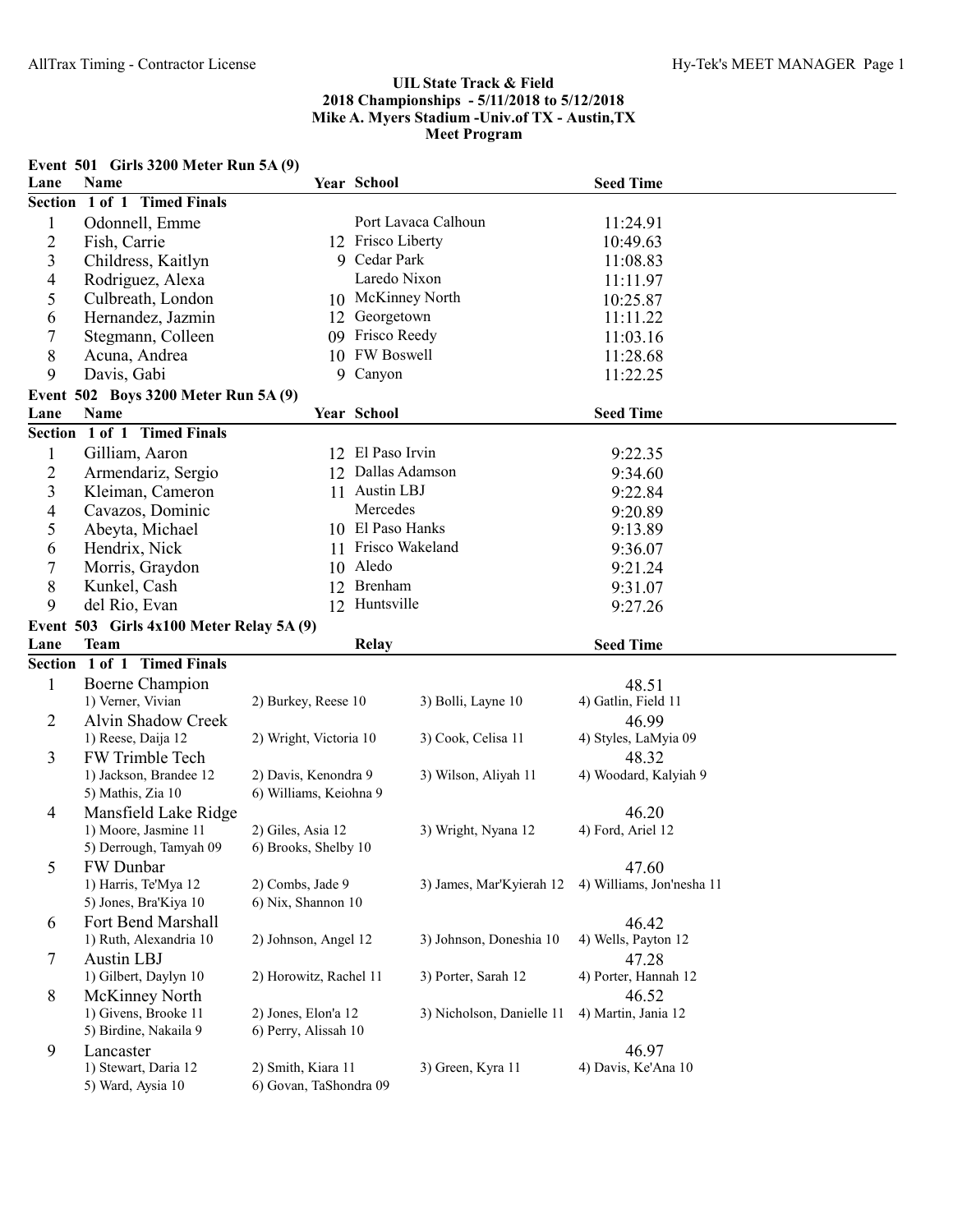|                          | Event 501 Girls 3200 Meter Run 5A (9)         |                                              |                     |                           |                           |  |
|--------------------------|-----------------------------------------------|----------------------------------------------|---------------------|---------------------------|---------------------------|--|
| Lane                     | Name                                          |                                              | Year School         |                           | <b>Seed Time</b>          |  |
|                          | Section 1 of 1 Timed Finals                   |                                              |                     |                           |                           |  |
| $\mathbf{1}$             | Odonnell, Emme                                |                                              | Port Lavaca Calhoun |                           | 11:24.91                  |  |
| $\overline{c}$           | Fish, Carrie                                  |                                              | 12 Frisco Liberty   |                           | 10:49.63                  |  |
| 3                        | Childress, Kaitlyn                            |                                              | 9 Cedar Park        |                           | 11:08.83                  |  |
| 4                        | Rodriguez, Alexa                              |                                              | Laredo Nixon        |                           | 11:11.97                  |  |
| 5                        | Culbreath, London                             |                                              | 10 McKinney North   |                           | 10:25.87                  |  |
| 6                        | Hernandez, Jazmin                             |                                              | 12 Georgetown       |                           | 11:11.22                  |  |
| 7                        | Stegmann, Colleen                             |                                              | 09 Frisco Reedy     |                           | 11:03.16                  |  |
| 8                        | Acuna, Andrea                                 |                                              | 10 FW Boswell       |                           | 11:28.68                  |  |
| 9                        | Davis, Gabi                                   |                                              | 9 Canyon            |                           | 11:22.25                  |  |
|                          | Event 502 Boys 3200 Meter Run 5A (9)          |                                              |                     |                           |                           |  |
| Lane                     | Name                                          |                                              | Year School         |                           | <b>Seed Time</b>          |  |
|                          | Section 1 of 1 Timed Finals                   |                                              |                     |                           |                           |  |
| $\mathbf{1}$             | Gilliam, Aaron                                |                                              | 12 El Paso Irvin    |                           | 9:22.35                   |  |
| $\overline{c}$           | Armendariz, Sergio                            |                                              | 12 Dallas Adamson   |                           | 9:34.60                   |  |
| 3                        | Kleiman, Cameron                              |                                              | 11 Austin LBJ       |                           | 9:22.84                   |  |
| $\overline{\mathcal{L}}$ | Cavazos, Dominic                              |                                              | Mercedes            |                           | 9:20.89                   |  |
| 5                        | Abeyta, Michael                               |                                              | 10 El Paso Hanks    |                           | 9:13.89                   |  |
| 6                        | Hendrix, Nick                                 |                                              | 11 Frisco Wakeland  |                           | 9:36.07                   |  |
| 7                        | Morris, Graydon                               |                                              | 10 Aledo            |                           | 9:21.24                   |  |
| 8                        | Kunkel, Cash                                  | 12                                           | Brenham             |                           | 9:31.07                   |  |
| 9                        | del Rio, Evan                                 |                                              | 12 Huntsville       |                           | 9:27.26                   |  |
|                          | Event $503$ Girls $4x100$ Meter Relay $5A(9)$ |                                              |                     |                           |                           |  |
| Lane                     | <b>Team</b>                                   |                                              | <b>Relay</b>        |                           | <b>Seed Time</b>          |  |
|                          | Section 1 of 1 Timed Finals                   |                                              |                     |                           |                           |  |
| $\mathbf{1}$             | Boerne Champion                               |                                              |                     |                           | 48.51                     |  |
|                          | 1) Verner, Vivian                             | 2) Burkey, Reese 10                          |                     | 3) Bolli, Layne 10        | 4) Gatlin, Field 11       |  |
| 2                        | Alvin Shadow Creek                            |                                              |                     |                           | 46.99                     |  |
|                          | 1) Reese, Daija 12                            | 2) Wright, Victoria 10                       |                     | 3) Cook, Celisa 11        | 4) Styles, LaMyia 09      |  |
| 3                        | FW Trimble Tech                               |                                              |                     |                           | 48.32                     |  |
|                          | 1) Jackson, Brandee 12                        | 2) Davis, Kenondra 9                         |                     | 3) Wilson, Aliyah 11      | 4) Woodard, Kalyiah 9     |  |
|                          | 5) Mathis, Zia 10                             | 6) Williams, Keiohna 9                       |                     |                           |                           |  |
| $\overline{4}$           | Mansfield Lake Ridge                          |                                              |                     |                           | 46.20                     |  |
|                          | 1) Moore, Jasmine 11                          | 2) Giles, Asia 12                            |                     | 3) Wright, Nyana 12       | 4) Ford, Ariel 12         |  |
|                          | 5) Derrough, Tamyah 09                        | 6) Brooks, Shelby 10                         |                     |                           |                           |  |
| 5                        | FW Dunbar                                     |                                              |                     |                           | 47.60                     |  |
|                          | 1) Harris, Te'Mya 12                          | 2) Combs, Jade 9                             |                     | 3) James, Mar'Kyierah 12  | 4) Williams, Jon'nesha 11 |  |
|                          | 5) Jones, Bra'Kiya 10                         | 6) Nix, Shannon 10                           |                     |                           |                           |  |
| 6                        | Fort Bend Marshall                            |                                              |                     |                           | 46.42                     |  |
|                          | 1) Ruth, Alexandria 10                        | 2) Johnson, Angel 12                         |                     | 3) Johnson, Doneshia 10   | 4) Wells, Payton 12       |  |
| 7                        | <b>Austin LBJ</b>                             |                                              |                     |                           | 47.28                     |  |
|                          | 1) Gilbert, Daylyn 10                         | 2) Horowitz, Rachel 11                       |                     | 3) Porter, Sarah 12       | 4) Porter, Hannah 12      |  |
| 8                        | McKinney North                                |                                              |                     |                           | 46.52                     |  |
|                          | 1) Givens, Brooke 11                          | 2) Jones, Elon'a 12                          |                     | 3) Nicholson, Danielle 11 | 4) Martin, Jania 12       |  |
|                          | 5) Birdine, Nakaila 9                         | 6) Perry, Alissah 10                         |                     |                           |                           |  |
|                          |                                               |                                              |                     |                           |                           |  |
| 9                        | Lancaster                                     |                                              |                     |                           | 46.97                     |  |
|                          | 1) Stewart, Daria 12<br>5) Ward, Aysia 10     | 2) Smith, Kiara 11<br>6) Govan, TaShondra 09 |                     | 3) Green, Kyra 11         | 4) Davis, Ke'Ana 10       |  |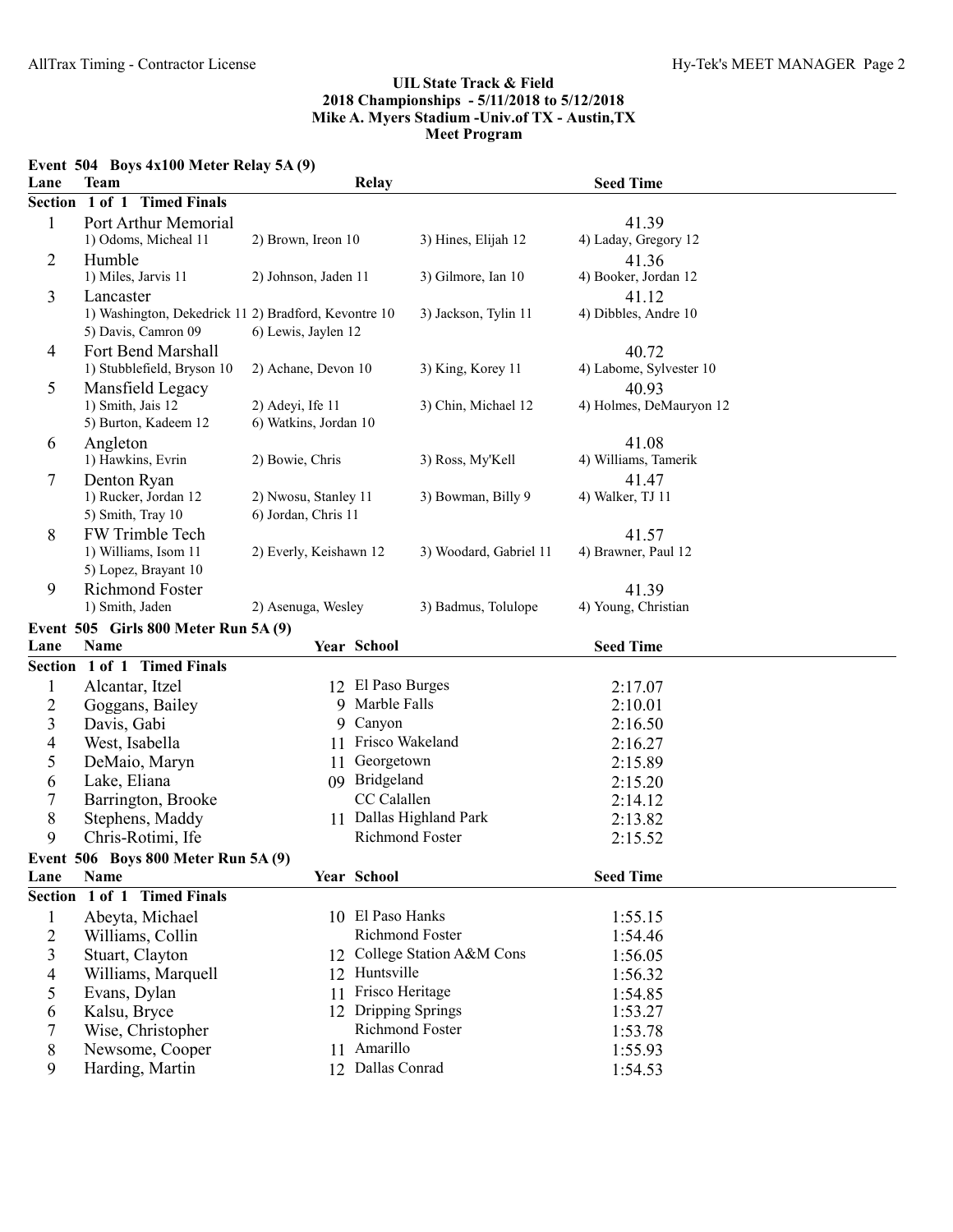# **Event 504 Boys 4x100 Meter Relay 5A (9)**

| Lane                | <b>Team</b>                                          |                                             | Relay                    | <b>Seed Time</b>             |  |
|---------------------|------------------------------------------------------|---------------------------------------------|--------------------------|------------------------------|--|
| <b>Section</b>      | 1 of 1 Timed Finals                                  |                                             |                          |                              |  |
| 1                   | Port Arthur Memorial                                 |                                             |                          | 41.39                        |  |
|                     | 1) Odoms, Micheal 11                                 | 2) Brown, Ireon 10                          | 3) Hines, Elijah 12      | 4) Laday, Gregory 12         |  |
| $\overline{2}$      | Humble                                               |                                             |                          | 41.36                        |  |
|                     | 1) Miles, Jarvis 11                                  | 2) Johnson, Jaden 11                        | 3) Gilmore, Ian 10       | 4) Booker, Jordan 12         |  |
| 3                   | Lancaster                                            |                                             |                          | 41.12                        |  |
|                     | 1) Washington, Dekedrick 11 2) Bradford, Kevontre 10 |                                             | 3) Jackson, Tylin 11     | 4) Dibbles, Andre 10         |  |
|                     | 5) Davis, Camron 09                                  | 6) Lewis, Jaylen 12                         |                          |                              |  |
| $\overline{4}$      | Fort Bend Marshall                                   |                                             |                          | 40.72                        |  |
|                     | 1) Stubblefield, Bryson 10                           | 2) Achane, Devon 10                         | 3) King, Korey 11        | 4) Labome, Sylvester 10      |  |
| 5                   | Mansfield Legacy                                     |                                             |                          | 40.93                        |  |
|                     | 1) Smith, Jais 12                                    | 2) Adeyi, Ife 11                            | 3) Chin, Michael 12      | 4) Holmes, DeMauryon 12      |  |
|                     | 5) Burton, Kadeem 12                                 | 6) Watkins, Jordan 10                       |                          |                              |  |
| 6                   | Angleton                                             |                                             |                          | 41.08                        |  |
|                     | 1) Hawkins, Evrin                                    | 2) Bowie, Chris                             | 3) Ross, My'Kell         | 4) Williams, Tamerik         |  |
| 7                   | Denton Ryan                                          |                                             |                          | 41.47                        |  |
|                     | 1) Rucker, Jordan 12<br>5) Smith, Tray 10            | 2) Nwosu, Stanley 11<br>6) Jordan, Chris 11 | 3) Bowman, Billy 9       | 4) Walker, TJ 11             |  |
|                     | FW Trimble Tech                                      |                                             |                          |                              |  |
| 8                   | 1) Williams, Isom 11                                 | 2) Everly, Keishawn 12                      | 3) Woodard, Gabriel 11   | 41.57<br>4) Brawner, Paul 12 |  |
|                     | 5) Lopez, Brayant 10                                 |                                             |                          |                              |  |
| 9                   | Richmond Foster                                      |                                             |                          | 41.39                        |  |
|                     | 1) Smith, Jaden                                      | 2) Asenuga, Wesley                          | 3) Badmus, Tolulope      | 4) Young, Christian          |  |
|                     | Event 505 Girls 800 Meter Run 5A (9)                 |                                             |                          |                              |  |
| Lane                | <b>Name</b>                                          | Year School                                 |                          | <b>Seed Time</b>             |  |
|                     |                                                      |                                             |                          |                              |  |
|                     | Section 1 of 1 Timed Finals                          |                                             |                          |                              |  |
|                     |                                                      | 12                                          | El Paso Burges           |                              |  |
| $\mathbf{1}$        | Alcantar, Itzel                                      | 9                                           | Marble Falls             | 2:17.07<br>2:10.01           |  |
| 2                   | Goggans, Bailey                                      | 9                                           | Canyon                   | 2:16.50                      |  |
| 3<br>$\overline{4}$ | Davis, Gabi<br>West, Isabella                        |                                             | 11 Frisco Wakeland       |                              |  |
| 5                   | DeMaio, Maryn                                        | 11                                          | Georgetown               | 2:16.27<br>2:15.89           |  |
|                     |                                                      |                                             | 09 Bridgeland            |                              |  |
| 6<br>$\tau$         | Lake, Eliana                                         |                                             | CC Calallen              | 2:15.20<br>2:14.12           |  |
| 8                   | Barrington, Brooke<br>Stephens, Maddy                |                                             | 11 Dallas Highland Park  | 2:13.82                      |  |
| 9                   | Chris-Rotimi, Ife                                    |                                             | <b>Richmond Foster</b>   | 2:15.52                      |  |
|                     |                                                      |                                             |                          |                              |  |
| Lane                | Event 506 Boys 800 Meter Run 5A (9)<br>Name          | Year School                                 |                          | <b>Seed Time</b>             |  |
|                     | Section 1 of 1 Timed Finals                          |                                             |                          |                              |  |
| $\mathbf{1}$        | Abeyta, Michael                                      |                                             | 10 El Paso Hanks         | 1:55.15                      |  |
| $\overline{c}$      | Williams, Collin                                     |                                             | Richmond Foster          | 1:54.46                      |  |
| 3                   | Stuart, Clayton                                      | 12                                          | College Station A&M Cons | 1:56.05                      |  |
| 4                   | Williams, Marquell                                   | 12                                          | Huntsville               | 1:56.32                      |  |
| 5                   | Evans, Dylan                                         | 11                                          | Frisco Heritage          | 1:54.85                      |  |
| 6                   | Kalsu, Bryce                                         |                                             | 12 Dripping Springs      | 1:53.27                      |  |
| 7                   | Wise, Christopher                                    |                                             | Richmond Foster          | 1:53.78                      |  |
| 8                   | Newsome, Cooper                                      | 11                                          | Amarillo                 | 1:55.93                      |  |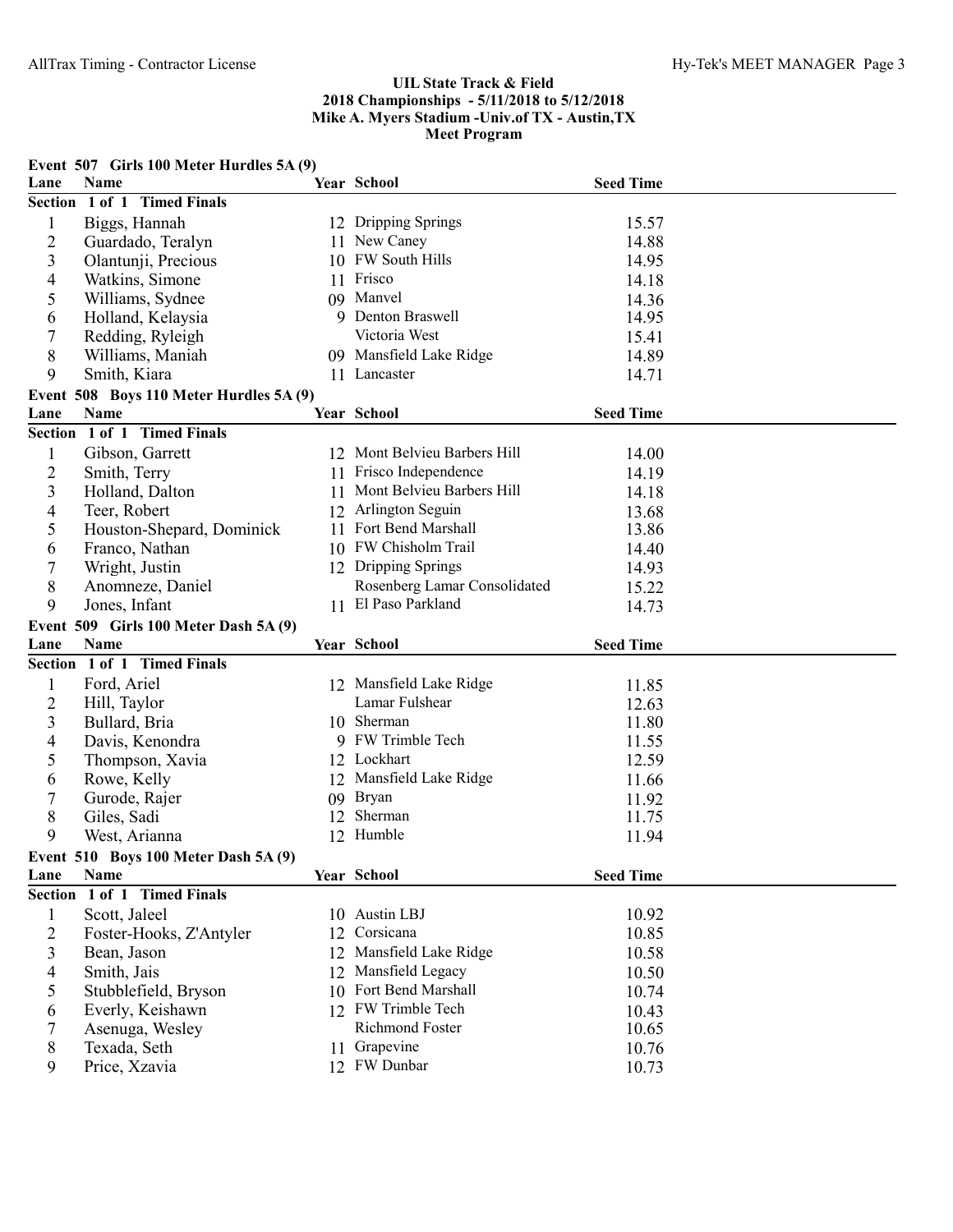|                  | Event 507 Girls 100 Meter Hurdles 5A (9) |    |                              |                  |  |
|------------------|------------------------------------------|----|------------------------------|------------------|--|
| Lane             | <b>Name</b>                              |    | Year School                  | <b>Seed Time</b> |  |
|                  | Section 1 of 1 Timed Finals              |    |                              |                  |  |
| $\mathbf{1}$     | Biggs, Hannah                            |    | 12 Dripping Springs          | 15.57            |  |
| $\overline{2}$   | Guardado, Teralyn                        |    | 11 New Caney                 | 14.88            |  |
| 3                | Olantunji, Precious                      |    | 10 FW South Hills            | 14.95            |  |
| 4                | Watkins, Simone                          |    | 11 Frisco                    | 14.18            |  |
| 5                | Williams, Sydnee                         |    | 09 Manvel                    | 14.36            |  |
| 6                | Holland, Kelaysia                        |    | 9 Denton Braswell            | 14.95            |  |
| $\boldsymbol{7}$ | Redding, Ryleigh                         |    | Victoria West                | 15.41            |  |
| 8                | Williams, Maniah                         |    | 09 Mansfield Lake Ridge      | 14.89            |  |
| 9                | Smith, Kiara                             |    | 11 Lancaster                 | 14.71            |  |
|                  | Event 508 Boys 110 Meter Hurdles 5A (9)  |    |                              |                  |  |
| Lane             | <b>Name</b>                              |    | Year School                  | <b>Seed Time</b> |  |
|                  | Section 1 of 1 Timed Finals              |    |                              |                  |  |
|                  |                                          |    |                              |                  |  |
| 1                | Gibson, Garrett                          |    | 12 Mont Belvieu Barbers Hill | 14.00            |  |
| $\overline{c}$   | Smith, Terry                             |    | 11 Frisco Independence       | 14.19            |  |
| 3                | Holland, Dalton                          | 11 | Mont Belvieu Barbers Hill    | 14.18            |  |
| 4                | Teer, Robert                             | 12 | Arlington Seguin             | 13.68            |  |
| 5                | Houston-Shepard, Dominick                |    | 11 Fort Bend Marshall        | 13.86            |  |
| 6                | Franco, Nathan                           |    | 10 FW Chisholm Trail         | 14.40            |  |
| 7                | Wright, Justin                           |    | 12 Dripping Springs          | 14.93            |  |
| 8                | Anomneze, Daniel                         |    | Rosenberg Lamar Consolidated | 15.22            |  |
| 9                | Jones, Infant                            |    | 11 El Paso Parkland          | 14.73            |  |
|                  |                                          |    |                              |                  |  |
|                  | Event 509 Girls 100 Meter Dash 5A (9)    |    |                              |                  |  |
| Lane             | Name                                     |    | Year School                  | <b>Seed Time</b> |  |
|                  | Section 1 of 1 Timed Finals              |    |                              |                  |  |
| $\mathbf{1}$     |                                          |    | 12 Mansfield Lake Ridge      | 11.85            |  |
|                  | Ford, Ariel                              |    | Lamar Fulshear               |                  |  |
| $\overline{c}$   | Hill, Taylor                             |    | 10 Sherman                   | 12.63            |  |
| 3                | Bullard, Bria                            |    | 9 FW Trimble Tech            | 11.80            |  |
| 4                | Davis, Kenondra                          |    | 12 Lockhart                  | 11.55            |  |
| 5                | Thompson, Xavia                          |    |                              | 12.59            |  |
| 6                | Rowe, Kelly                              |    | 12 Mansfield Lake Ridge      | 11.66            |  |
| 7                | Gurode, Rajer                            |    | 09 Bryan                     | 11.92            |  |
| 8                | Giles, Sadi                              | 12 | Sherman                      | 11.75            |  |
| 9                | West, Arianna                            |    | 12 Humble                    | 11.94            |  |
|                  | Event $510$ Boys 100 Meter Dash $5A(9)$  |    |                              |                  |  |
| Lane             | Name                                     |    | Year School                  | <b>Seed Time</b> |  |
|                  | Section 1 of 1 Timed Finals              |    |                              |                  |  |
| $\mathbf{1}$     | Scott, Jaleel                            |    | 10 Austin LBJ                | 10.92            |  |
| $\overline{2}$   | Foster-Hooks, Z'Antyler                  | 12 | Corsicana                    | 10.85            |  |
| 3                | Bean, Jason                              | 12 | Mansfield Lake Ridge         | 10.58            |  |
| 4                | Smith, Jais                              | 12 | Mansfield Legacy             | 10.50            |  |
| 5                | Stubblefield, Bryson                     | 10 | Fort Bend Marshall           | 10.74            |  |
| 6                | Everly, Keishawn                         |    | 12 FW Trimble Tech           | 10.43            |  |
| 7                | Asenuga, Wesley                          |    | Richmond Foster              | 10.65            |  |
| 8<br>9           | Texada, Seth<br>Price, Xzavia            |    | 11 Grapevine<br>12 FW Dunbar | 10.76<br>10.73   |  |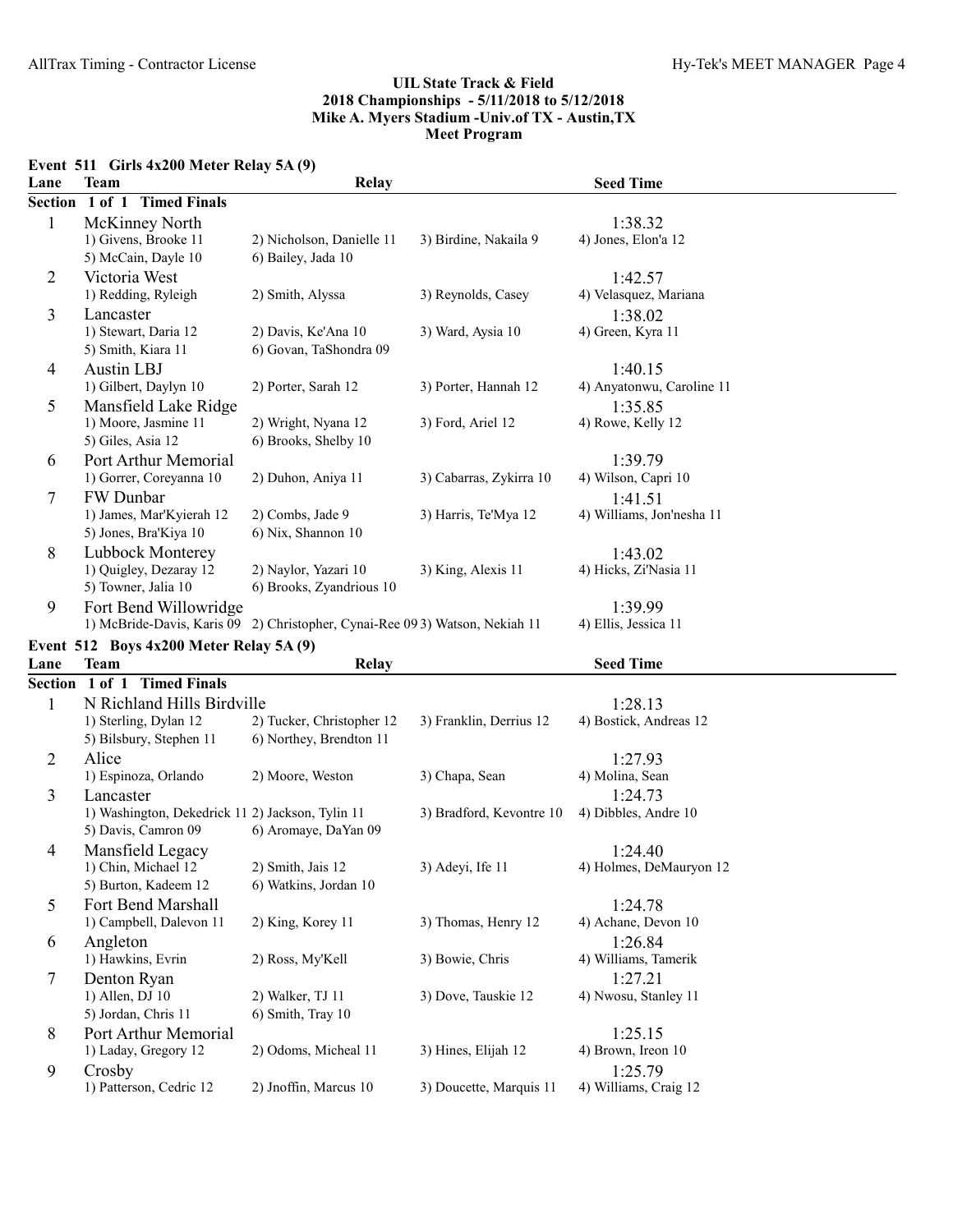|  | Event $511$ Girls $4x200$ Meter Relay $5A(9)$ |
|--|-----------------------------------------------|
|  |                                               |

| Lane           | <b>Team</b>                                      | <b>Relay</b>                                                                |                          | <b>Seed Time</b>              |
|----------------|--------------------------------------------------|-----------------------------------------------------------------------------|--------------------------|-------------------------------|
| <b>Section</b> | 1 of 1 Timed Finals                              |                                                                             |                          |                               |
| $\mathbf{1}$   | McKinney North                                   |                                                                             |                          | 1:38.32                       |
|                | 1) Givens, Brooke 11                             | 2) Nicholson, Danielle 11                                                   | 3) Birdine, Nakaila 9    | 4) Jones, Elon'a 12           |
|                | 5) McCain, Dayle 10                              | 6) Bailey, Jada 10                                                          |                          |                               |
| $\overline{2}$ | Victoria West                                    |                                                                             |                          | 1:42.57                       |
|                | 1) Redding, Ryleigh                              | 2) Smith, Alyssa                                                            | 3) Reynolds, Casey       | 4) Velasquez, Mariana         |
| 3              | Lancaster                                        |                                                                             |                          | 1:38.02                       |
|                | 1) Stewart, Daria 12                             | 2) Davis, Ke'Ana 10                                                         | 3) Ward, Aysia 10        | 4) Green, Kyra 11             |
|                | 5) Smith, Kiara 11                               | 6) Govan, TaShondra 09                                                      |                          |                               |
| $\overline{4}$ | <b>Austin LBJ</b>                                |                                                                             |                          | 1:40.15                       |
|                | 1) Gilbert, Daylyn 10                            | 2) Porter, Sarah 12                                                         | 3) Porter, Hannah 12     | 4) Anyatonwu, Caroline 11     |
| 5              | Mansfield Lake Ridge                             |                                                                             |                          | 1:35.85                       |
|                | 1) Moore, Jasmine 11                             | 2) Wright, Nyana 12                                                         | 3) Ford, Ariel 12        | 4) Rowe, Kelly 12             |
|                | 5) Giles, Asia 12                                | 6) Brooks, Shelby 10                                                        |                          |                               |
| 6              | Port Arthur Memorial                             |                                                                             |                          | 1:39.79                       |
|                | 1) Gorrer, Coreyanna 10                          | 2) Duhon, Aniya 11                                                          | 3) Cabarras, Zykirra 10  | 4) Wilson, Capri 10           |
| 7              | FW Dunbar                                        |                                                                             |                          | 1:41.51                       |
|                | 1) James, Mar'Kyierah 12                         | 2) Combs, Jade 9                                                            | 3) Harris, Te'Mya 12     | 4) Williams, Jon'nesha 11     |
|                | 5) Jones, Bra'Kiya 10                            | 6) Nix, Shannon 10                                                          |                          |                               |
| 8              | Lubbock Monterey                                 |                                                                             |                          | 1:43.02                       |
|                | 1) Quigley, Dezaray 12                           | 2) Naylor, Yazari 10                                                        | 3) King, Alexis 11       | 4) Hicks, Zi'Nasia 11         |
|                | 5) Towner, Jalia 10                              | 6) Brooks, Zyandrious 10                                                    |                          |                               |
| 9              | Fort Bend Willowridge                            |                                                                             |                          | 1:39.99                       |
|                |                                                  | 1) McBride-Davis, Karis 09 2) Christopher, Cynai-Ree 093) Watson, Nekiah 11 |                          | 4) Ellis, Jessica 11          |
|                | Event 512 Boys 4x200 Meter Relay 5A (9)          |                                                                             |                          |                               |
| Lane           | <b>Team</b>                                      | <b>Relay</b>                                                                |                          | <b>Seed Time</b>              |
|                | Section 1 of 1 Timed Finals                      |                                                                             |                          |                               |
| 1              | N Richland Hills Birdville                       |                                                                             |                          | 1:28.13                       |
|                | 1) Sterling, Dylan 12                            | 2) Tucker, Christopher 12                                                   | 3) Franklin, Derrius 12  | 4) Bostick, Andreas 12        |
|                |                                                  |                                                                             |                          |                               |
| $\overline{2}$ |                                                  |                                                                             |                          |                               |
|                | 5) Bilsbury, Stephen 11                          | 6) Northey, Brendton 11                                                     |                          |                               |
|                | Alice                                            |                                                                             |                          | 1:27.93                       |
|                | 1) Espinoza, Orlando                             | 2) Moore, Weston                                                            | 3) Chapa, Sean           | 4) Molina, Sean               |
| 3              | Lancaster                                        |                                                                             |                          | 1:24.73                       |
|                | 1) Washington, Dekedrick 11 2) Jackson, Tylin 11 |                                                                             | 3) Bradford, Kevontre 10 | 4) Dibbles, Andre 10          |
|                | 5) Davis, Camron 09                              | 6) Aromaye, DaYan 09                                                        |                          |                               |
| $\overline{4}$ | Mansfield Legacy                                 |                                                                             |                          | 1:24.40                       |
|                | 1) Chin, Michael 12                              | 2) Smith, Jais 12                                                           | 3) Adeyi, Ife 11         | 4) Holmes, DeMauryon 12       |
|                | 5) Burton, Kadeem 12                             | 6) Watkins, Jordan 10                                                       |                          |                               |
| 5              | Fort Bend Marshall                               |                                                                             |                          | 1:24.78                       |
|                | 1) Campbell, Dalevon 11                          | 2) King, Korey 11                                                           | 3) Thomas, Henry 12      | 4) Achane, Devon 10           |
| 6              | Angleton                                         |                                                                             |                          | 1:26.84                       |
|                | 1) Hawkins, Evrin                                | 2) Ross, My'Kell                                                            | 3) Bowie, Chris          | 4) Williams, Tamerik          |
| 7              | Denton Ryan                                      |                                                                             |                          | 1:27.21                       |
|                | 1) Allen, DJ 10                                  | 2) Walker, TJ 11                                                            | 3) Dove, Tauskie 12      | 4) Nwosu, Stanley 11          |
|                | 5) Jordan, Chris 11                              | 6) Smith, Tray 10                                                           |                          |                               |
| 8              | Port Arthur Memorial                             |                                                                             |                          | 1:25.15                       |
| 9              | 1) Laday, Gregory 12<br>Crosby                   | 2) Odoms, Micheal 11                                                        | 3) Hines, Elijah 12      | 4) Brown, Ireon 10<br>1:25.79 |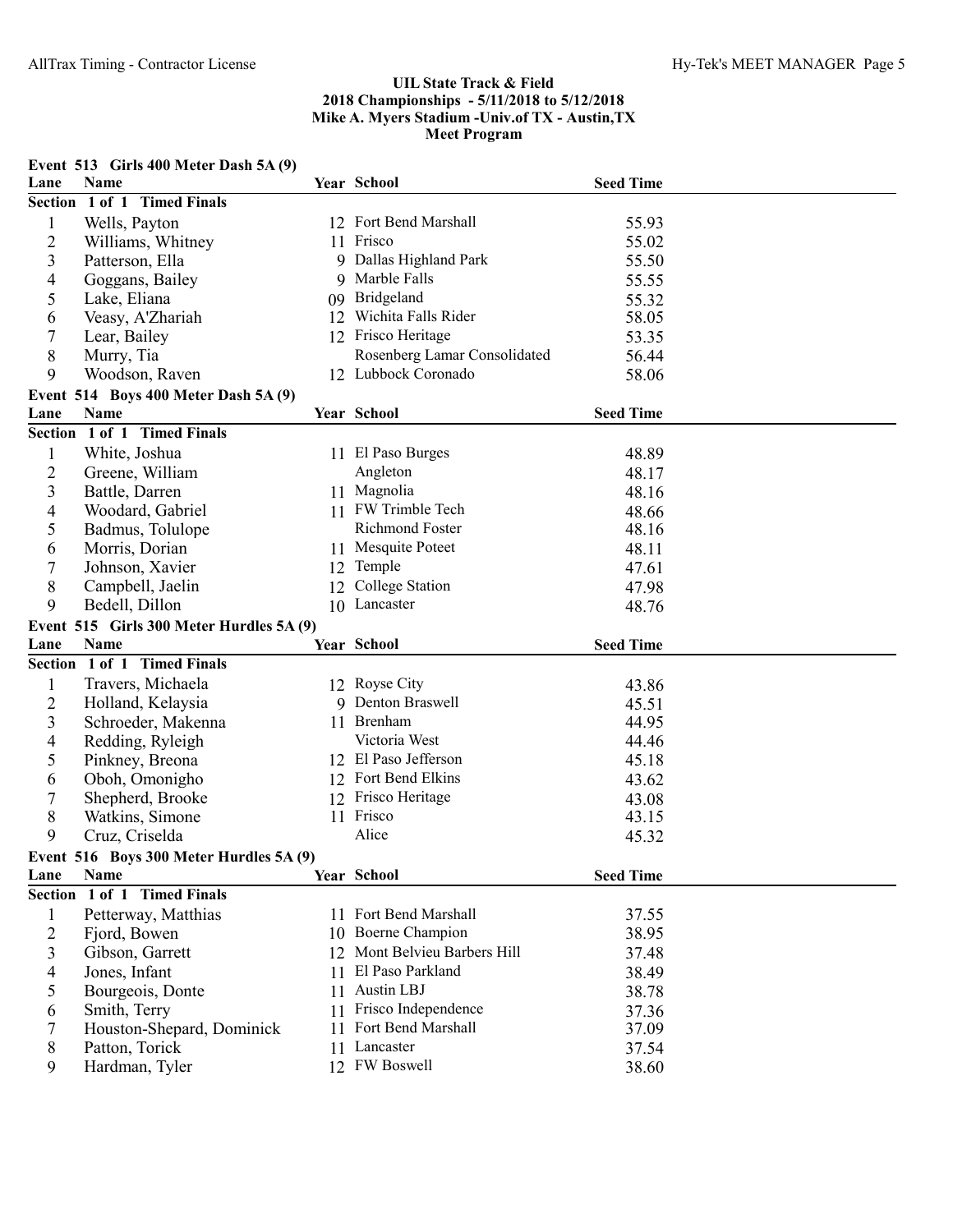|                | Event 513 Girls 400 Meter Dash 5A (9)           |    |                                                  |                  |  |
|----------------|-------------------------------------------------|----|--------------------------------------------------|------------------|--|
| Lane           | <b>Name</b>                                     |    | Year School                                      | <b>Seed Time</b> |  |
|                | Section 1 of 1 Timed Finals                     |    |                                                  |                  |  |
| 1              | Wells, Payton                                   |    | 12 Fort Bend Marshall                            | 55.93            |  |
| $\overline{2}$ | Williams, Whitney                               |    | 11 Frisco                                        | 55.02            |  |
| 3              | Patterson, Ella                                 |    | 9 Dallas Highland Park                           | 55.50            |  |
| 4              | Goggans, Bailey                                 |    | 9 Marble Falls                                   | 55.55            |  |
| 5              | Lake, Eliana                                    |    | 09 Bridgeland                                    | 55.32            |  |
| 6              | Veasy, A'Zhariah                                |    | 12 Wichita Falls Rider                           | 58.05            |  |
| 7              | Lear, Bailey                                    |    | 12 Frisco Heritage                               | 53.35            |  |
| 8              | Murry, Tia                                      |    | Rosenberg Lamar Consolidated                     | 56.44            |  |
| 9              | Woodson, Raven                                  |    | 12 Lubbock Coronado                              | 58.06            |  |
|                | Event 514 Boys 400 Meter Dash 5A (9)            |    |                                                  |                  |  |
| Lane           | Name                                            |    | Year School                                      | <b>Seed Time</b> |  |
|                | Section 1 of 1 Timed Finals                     |    |                                                  |                  |  |
| $\mathbf{1}$   | White, Joshua                                   |    | 11 El Paso Burges                                | 48.89            |  |
| 2              | Greene, William                                 |    | Angleton                                         | 48.17            |  |
| 3              | Battle, Darren                                  |    | 11 Magnolia                                      | 48.16            |  |
| 4              | Woodard, Gabriel                                |    | 11 FW Trimble Tech                               | 48.66            |  |
|                | Badmus, Tolulope                                |    | Richmond Foster                                  | 48.16            |  |
| 5              |                                                 |    | 11 Mesquite Poteet                               |                  |  |
| 6              | Morris, Dorian                                  |    |                                                  | 48.11            |  |
| 7              | Johnson, Xavier                                 |    | 12 Temple                                        | 47.61            |  |
| 8              | Campbell, Jaelin                                | 12 | College Station                                  | 47.98            |  |
| 9              | Bedell, Dillon                                  |    | 10 Lancaster                                     | 48.76            |  |
|                |                                                 |    |                                                  |                  |  |
|                | Event 515 Girls 300 Meter Hurdles 5A (9)        |    |                                                  |                  |  |
| Lane           | Name                                            |    | Year School                                      | <b>Seed Time</b> |  |
|                | Section 1 of 1 Timed Finals                     |    |                                                  |                  |  |
| $\mathbf{1}$   | Travers, Michaela                               |    | 12 Royse City                                    | 43.86            |  |
| 2              | Holland, Kelaysia                               |    | 9 Denton Braswell                                | 45.51            |  |
| 3              | Schroeder, Makenna                              |    | 11 Brenham                                       | 44.95            |  |
| 4              | Redding, Ryleigh                                |    | Victoria West                                    | 44.46            |  |
| 5              | Pinkney, Breona                                 |    | 12 El Paso Jefferson                             | 45.18            |  |
| 6              | Oboh, Omonigho                                  |    | 12 Fort Bend Elkins                              | 43.62            |  |
| 7              | Shepherd, Brooke                                |    | 12 Frisco Heritage                               | 43.08            |  |
| 8              | Watkins, Simone                                 |    | 11 Frisco                                        | 43.15            |  |
| 9              | Cruz, Criselda                                  |    | Alice                                            | 45.32            |  |
|                |                                                 |    |                                                  |                  |  |
| Lane           | Event 516 Boys 300 Meter Hurdles 5A (9)<br>Name |    | Year School                                      | <b>Seed Time</b> |  |
|                | Section 1 of 1 Timed Finals                     |    |                                                  |                  |  |
|                |                                                 |    | 11 Fort Bend Marshall                            |                  |  |
| 1              | Petterway, Matthias                             |    | 10 Boerne Champion                               | 37.55            |  |
| $\overline{2}$ | Fjord, Bowen                                    |    |                                                  | 38.95            |  |
| 3              | Gibson, Garrett                                 |    | 12 Mont Belvieu Barbers Hill<br>El Paso Parkland | 37.48            |  |
| 4              | Jones, Infant                                   | 11 |                                                  | 38.49            |  |
| 5              | Bourgeois, Donte                                | 11 | Austin LBJ                                       | 38.78            |  |
| 6              | Smith, Terry                                    | 11 | Frisco Independence                              | 37.36            |  |
| 7              | Houston-Shepard, Dominick                       | 11 | Fort Bend Marshall                               | 37.09            |  |
| 8<br>9         | Patton, Torick<br>Hardman, Tyler                | 11 | Lancaster<br>12 FW Boswell                       | 37.54<br>38.60   |  |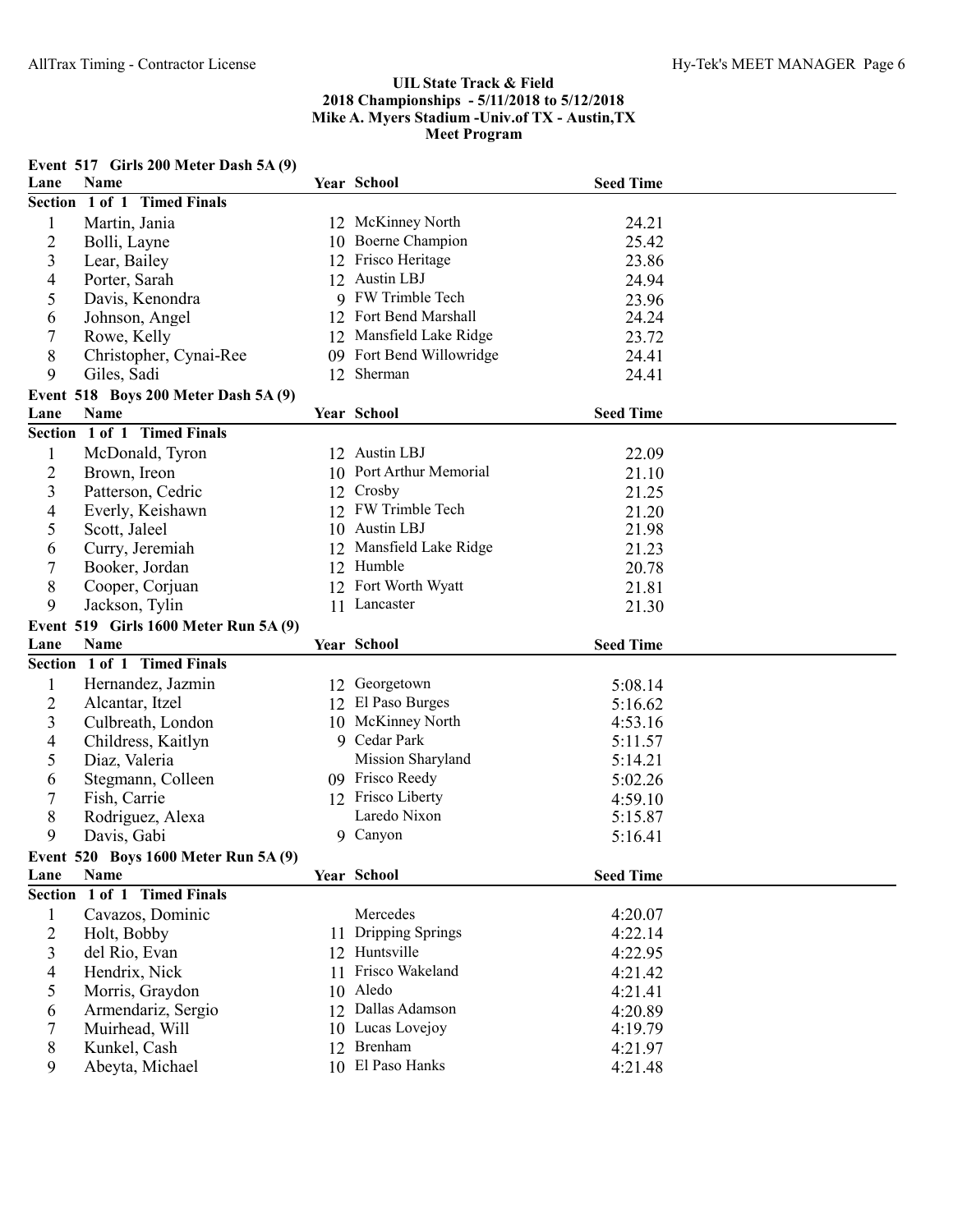| Name<br>Year School<br>Lane<br><b>Seed Time</b><br>Section 1 of 1 Timed Finals<br>12 McKinney North<br>$\mathbf{1}$<br>Martin, Jania<br>24.21<br>$\mathbf{2}$<br>10 Boerne Champion<br>25.42<br>Bolli, Layne<br>3<br>12 Frisco Heritage<br>23.86<br>Lear, Bailey<br>12 Austin LBJ<br>4<br>Porter, Sarah<br>24.94<br>9 FW Trimble Tech<br>5<br>Davis, Kenondra<br>23.96<br>12 Fort Bend Marshall<br>24.24<br>Johnson, Angel<br>6<br>$\tau$<br>12 Mansfield Lake Ridge<br>23.72<br>Rowe, Kelly<br>8<br>09 Fort Bend Willowridge<br>Christopher, Cynai-Ree<br>24.41<br>9<br>12 Sherman<br>Giles, Sadi<br>24.41<br>Event 518 Boys 200 Meter Dash 5A (9)<br>Year School<br><b>Seed Time</b><br><b>Name</b><br>Section 1 of 1 Timed Finals<br>$\mathbf{1}$<br>McDonald, Tyron<br>12 Austin LBJ<br>22.09<br>$\overline{2}$<br>10 Port Arthur Memorial<br>Brown, Ireon<br>21.10<br>3<br>Crosby<br>Patterson, Cedric<br>21.25<br>12<br>12 FW Trimble Tech<br>4<br>Everly, Keishawn<br>21.20<br>10 Austin LBJ<br>5<br>Scott, Jaleel<br>21.98<br>Mansfield Lake Ridge<br>Curry, Jeremiah<br>6<br>12<br>21.23<br>12 Humble<br>7<br>Booker, Jordan<br>20.78<br>12 Fort Worth Wyatt<br>8<br>Cooper, Corjuan<br>21.81<br>9<br>Jackson, Tylin<br>11 Lancaster<br>21.30<br>Event 519 Girls 1600 Meter Run 5A (9)<br><b>Year School</b><br>Name<br><b>Seed Time</b><br>Section 1 of 1 Timed Finals<br>Hernandez, Jazmin<br>12 Georgetown<br>$\mathbf{1}$<br>5:08.14<br>12 El Paso Burges<br>$\overline{2}$<br>Alcantar, Itzel<br>5:16.62<br>3<br>10 McKinney North<br>Culbreath, London<br>4:53.16<br>9 Cedar Park<br>4<br>Childress, Kaitlyn<br>5:11.57<br>5<br>Mission Sharyland<br>Diaz, Valeria<br>5:14.21<br>09 Frisco Reedy<br>Stegmann, Colleen<br>6<br>5:02.26<br>12 Frisco Liberty<br>7<br>Fish, Carrie<br>4:59.10<br>Laredo Nixon<br>8<br>Rodriguez, Alexa<br>5:15.87<br>9<br>9 Canyon<br>Davis, Gabi<br>5:16.41<br>Event 520 Boys 1600 Meter Run 5A (9)<br>Year School<br>Name<br>Lane<br><b>Seed Time</b><br>Section 1 of 1 Timed Finals<br>Mercedes<br>$\mathbf{1}$<br>Cavazos, Dominic<br>4:20.07<br>$\overline{2}$<br>Holt, Bobby<br>11 Dripping Springs<br>4:22.14<br>3<br>12 Huntsville<br>del Rio, Evan<br>4:22.95<br>Frisco Wakeland<br>Hendrix, Nick<br>4<br>4:21.42<br>11<br>10 Aledo<br>5<br>Morris, Graydon<br>4:21.41<br>Dallas Adamson<br>Armendariz, Sergio<br>6<br>12<br>4:20.89<br>10 Lucas Lovejoy<br>7<br>Muirhead, Will<br>4:19.79<br>12 Brenham<br>8<br>Kunkel, Cash<br>4:21.97 |      | Event 517 Girls 200 Meter Dash 5A (9) |  |  |
|-----------------------------------------------------------------------------------------------------------------------------------------------------------------------------------------------------------------------------------------------------------------------------------------------------------------------------------------------------------------------------------------------------------------------------------------------------------------------------------------------------------------------------------------------------------------------------------------------------------------------------------------------------------------------------------------------------------------------------------------------------------------------------------------------------------------------------------------------------------------------------------------------------------------------------------------------------------------------------------------------------------------------------------------------------------------------------------------------------------------------------------------------------------------------------------------------------------------------------------------------------------------------------------------------------------------------------------------------------------------------------------------------------------------------------------------------------------------------------------------------------------------------------------------------------------------------------------------------------------------------------------------------------------------------------------------------------------------------------------------------------------------------------------------------------------------------------------------------------------------------------------------------------------------------------------------------------------------------------------------------------------------------------------------------------------------------------------------------------------------------------------------------------------------------------------------------------------------------------------------------------------------------------------------------------------------------------------------------------------------------------------------------------------------------------------------------------------------------------------------------|------|---------------------------------------|--|--|
|                                                                                                                                                                                                                                                                                                                                                                                                                                                                                                                                                                                                                                                                                                                                                                                                                                                                                                                                                                                                                                                                                                                                                                                                                                                                                                                                                                                                                                                                                                                                                                                                                                                                                                                                                                                                                                                                                                                                                                                                                                                                                                                                                                                                                                                                                                                                                                                                                                                                                               |      |                                       |  |  |
|                                                                                                                                                                                                                                                                                                                                                                                                                                                                                                                                                                                                                                                                                                                                                                                                                                                                                                                                                                                                                                                                                                                                                                                                                                                                                                                                                                                                                                                                                                                                                                                                                                                                                                                                                                                                                                                                                                                                                                                                                                                                                                                                                                                                                                                                                                                                                                                                                                                                                               |      |                                       |  |  |
|                                                                                                                                                                                                                                                                                                                                                                                                                                                                                                                                                                                                                                                                                                                                                                                                                                                                                                                                                                                                                                                                                                                                                                                                                                                                                                                                                                                                                                                                                                                                                                                                                                                                                                                                                                                                                                                                                                                                                                                                                                                                                                                                                                                                                                                                                                                                                                                                                                                                                               |      |                                       |  |  |
|                                                                                                                                                                                                                                                                                                                                                                                                                                                                                                                                                                                                                                                                                                                                                                                                                                                                                                                                                                                                                                                                                                                                                                                                                                                                                                                                                                                                                                                                                                                                                                                                                                                                                                                                                                                                                                                                                                                                                                                                                                                                                                                                                                                                                                                                                                                                                                                                                                                                                               |      |                                       |  |  |
|                                                                                                                                                                                                                                                                                                                                                                                                                                                                                                                                                                                                                                                                                                                                                                                                                                                                                                                                                                                                                                                                                                                                                                                                                                                                                                                                                                                                                                                                                                                                                                                                                                                                                                                                                                                                                                                                                                                                                                                                                                                                                                                                                                                                                                                                                                                                                                                                                                                                                               |      |                                       |  |  |
|                                                                                                                                                                                                                                                                                                                                                                                                                                                                                                                                                                                                                                                                                                                                                                                                                                                                                                                                                                                                                                                                                                                                                                                                                                                                                                                                                                                                                                                                                                                                                                                                                                                                                                                                                                                                                                                                                                                                                                                                                                                                                                                                                                                                                                                                                                                                                                                                                                                                                               |      |                                       |  |  |
|                                                                                                                                                                                                                                                                                                                                                                                                                                                                                                                                                                                                                                                                                                                                                                                                                                                                                                                                                                                                                                                                                                                                                                                                                                                                                                                                                                                                                                                                                                                                                                                                                                                                                                                                                                                                                                                                                                                                                                                                                                                                                                                                                                                                                                                                                                                                                                                                                                                                                               |      |                                       |  |  |
|                                                                                                                                                                                                                                                                                                                                                                                                                                                                                                                                                                                                                                                                                                                                                                                                                                                                                                                                                                                                                                                                                                                                                                                                                                                                                                                                                                                                                                                                                                                                                                                                                                                                                                                                                                                                                                                                                                                                                                                                                                                                                                                                                                                                                                                                                                                                                                                                                                                                                               |      |                                       |  |  |
|                                                                                                                                                                                                                                                                                                                                                                                                                                                                                                                                                                                                                                                                                                                                                                                                                                                                                                                                                                                                                                                                                                                                                                                                                                                                                                                                                                                                                                                                                                                                                                                                                                                                                                                                                                                                                                                                                                                                                                                                                                                                                                                                                                                                                                                                                                                                                                                                                                                                                               |      |                                       |  |  |
|                                                                                                                                                                                                                                                                                                                                                                                                                                                                                                                                                                                                                                                                                                                                                                                                                                                                                                                                                                                                                                                                                                                                                                                                                                                                                                                                                                                                                                                                                                                                                                                                                                                                                                                                                                                                                                                                                                                                                                                                                                                                                                                                                                                                                                                                                                                                                                                                                                                                                               |      |                                       |  |  |
|                                                                                                                                                                                                                                                                                                                                                                                                                                                                                                                                                                                                                                                                                                                                                                                                                                                                                                                                                                                                                                                                                                                                                                                                                                                                                                                                                                                                                                                                                                                                                                                                                                                                                                                                                                                                                                                                                                                                                                                                                                                                                                                                                                                                                                                                                                                                                                                                                                                                                               |      |                                       |  |  |
|                                                                                                                                                                                                                                                                                                                                                                                                                                                                                                                                                                                                                                                                                                                                                                                                                                                                                                                                                                                                                                                                                                                                                                                                                                                                                                                                                                                                                                                                                                                                                                                                                                                                                                                                                                                                                                                                                                                                                                                                                                                                                                                                                                                                                                                                                                                                                                                                                                                                                               |      |                                       |  |  |
|                                                                                                                                                                                                                                                                                                                                                                                                                                                                                                                                                                                                                                                                                                                                                                                                                                                                                                                                                                                                                                                                                                                                                                                                                                                                                                                                                                                                                                                                                                                                                                                                                                                                                                                                                                                                                                                                                                                                                                                                                                                                                                                                                                                                                                                                                                                                                                                                                                                                                               | Lane |                                       |  |  |
|                                                                                                                                                                                                                                                                                                                                                                                                                                                                                                                                                                                                                                                                                                                                                                                                                                                                                                                                                                                                                                                                                                                                                                                                                                                                                                                                                                                                                                                                                                                                                                                                                                                                                                                                                                                                                                                                                                                                                                                                                                                                                                                                                                                                                                                                                                                                                                                                                                                                                               |      |                                       |  |  |
|                                                                                                                                                                                                                                                                                                                                                                                                                                                                                                                                                                                                                                                                                                                                                                                                                                                                                                                                                                                                                                                                                                                                                                                                                                                                                                                                                                                                                                                                                                                                                                                                                                                                                                                                                                                                                                                                                                                                                                                                                                                                                                                                                                                                                                                                                                                                                                                                                                                                                               |      |                                       |  |  |
|                                                                                                                                                                                                                                                                                                                                                                                                                                                                                                                                                                                                                                                                                                                                                                                                                                                                                                                                                                                                                                                                                                                                                                                                                                                                                                                                                                                                                                                                                                                                                                                                                                                                                                                                                                                                                                                                                                                                                                                                                                                                                                                                                                                                                                                                                                                                                                                                                                                                                               |      |                                       |  |  |
|                                                                                                                                                                                                                                                                                                                                                                                                                                                                                                                                                                                                                                                                                                                                                                                                                                                                                                                                                                                                                                                                                                                                                                                                                                                                                                                                                                                                                                                                                                                                                                                                                                                                                                                                                                                                                                                                                                                                                                                                                                                                                                                                                                                                                                                                                                                                                                                                                                                                                               |      |                                       |  |  |
|                                                                                                                                                                                                                                                                                                                                                                                                                                                                                                                                                                                                                                                                                                                                                                                                                                                                                                                                                                                                                                                                                                                                                                                                                                                                                                                                                                                                                                                                                                                                                                                                                                                                                                                                                                                                                                                                                                                                                                                                                                                                                                                                                                                                                                                                                                                                                                                                                                                                                               |      |                                       |  |  |
|                                                                                                                                                                                                                                                                                                                                                                                                                                                                                                                                                                                                                                                                                                                                                                                                                                                                                                                                                                                                                                                                                                                                                                                                                                                                                                                                                                                                                                                                                                                                                                                                                                                                                                                                                                                                                                                                                                                                                                                                                                                                                                                                                                                                                                                                                                                                                                                                                                                                                               |      |                                       |  |  |
|                                                                                                                                                                                                                                                                                                                                                                                                                                                                                                                                                                                                                                                                                                                                                                                                                                                                                                                                                                                                                                                                                                                                                                                                                                                                                                                                                                                                                                                                                                                                                                                                                                                                                                                                                                                                                                                                                                                                                                                                                                                                                                                                                                                                                                                                                                                                                                                                                                                                                               |      |                                       |  |  |
|                                                                                                                                                                                                                                                                                                                                                                                                                                                                                                                                                                                                                                                                                                                                                                                                                                                                                                                                                                                                                                                                                                                                                                                                                                                                                                                                                                                                                                                                                                                                                                                                                                                                                                                                                                                                                                                                                                                                                                                                                                                                                                                                                                                                                                                                                                                                                                                                                                                                                               |      |                                       |  |  |
|                                                                                                                                                                                                                                                                                                                                                                                                                                                                                                                                                                                                                                                                                                                                                                                                                                                                                                                                                                                                                                                                                                                                                                                                                                                                                                                                                                                                                                                                                                                                                                                                                                                                                                                                                                                                                                                                                                                                                                                                                                                                                                                                                                                                                                                                                                                                                                                                                                                                                               |      |                                       |  |  |
|                                                                                                                                                                                                                                                                                                                                                                                                                                                                                                                                                                                                                                                                                                                                                                                                                                                                                                                                                                                                                                                                                                                                                                                                                                                                                                                                                                                                                                                                                                                                                                                                                                                                                                                                                                                                                                                                                                                                                                                                                                                                                                                                                                                                                                                                                                                                                                                                                                                                                               |      |                                       |  |  |
|                                                                                                                                                                                                                                                                                                                                                                                                                                                                                                                                                                                                                                                                                                                                                                                                                                                                                                                                                                                                                                                                                                                                                                                                                                                                                                                                                                                                                                                                                                                                                                                                                                                                                                                                                                                                                                                                                                                                                                                                                                                                                                                                                                                                                                                                                                                                                                                                                                                                                               |      |                                       |  |  |
|                                                                                                                                                                                                                                                                                                                                                                                                                                                                                                                                                                                                                                                                                                                                                                                                                                                                                                                                                                                                                                                                                                                                                                                                                                                                                                                                                                                                                                                                                                                                                                                                                                                                                                                                                                                                                                                                                                                                                                                                                                                                                                                                                                                                                                                                                                                                                                                                                                                                                               |      |                                       |  |  |
|                                                                                                                                                                                                                                                                                                                                                                                                                                                                                                                                                                                                                                                                                                                                                                                                                                                                                                                                                                                                                                                                                                                                                                                                                                                                                                                                                                                                                                                                                                                                                                                                                                                                                                                                                                                                                                                                                                                                                                                                                                                                                                                                                                                                                                                                                                                                                                                                                                                                                               |      |                                       |  |  |
|                                                                                                                                                                                                                                                                                                                                                                                                                                                                                                                                                                                                                                                                                                                                                                                                                                                                                                                                                                                                                                                                                                                                                                                                                                                                                                                                                                                                                                                                                                                                                                                                                                                                                                                                                                                                                                                                                                                                                                                                                                                                                                                                                                                                                                                                                                                                                                                                                                                                                               | Lane |                                       |  |  |
|                                                                                                                                                                                                                                                                                                                                                                                                                                                                                                                                                                                                                                                                                                                                                                                                                                                                                                                                                                                                                                                                                                                                                                                                                                                                                                                                                                                                                                                                                                                                                                                                                                                                                                                                                                                                                                                                                                                                                                                                                                                                                                                                                                                                                                                                                                                                                                                                                                                                                               |      |                                       |  |  |
|                                                                                                                                                                                                                                                                                                                                                                                                                                                                                                                                                                                                                                                                                                                                                                                                                                                                                                                                                                                                                                                                                                                                                                                                                                                                                                                                                                                                                                                                                                                                                                                                                                                                                                                                                                                                                                                                                                                                                                                                                                                                                                                                                                                                                                                                                                                                                                                                                                                                                               |      |                                       |  |  |
|                                                                                                                                                                                                                                                                                                                                                                                                                                                                                                                                                                                                                                                                                                                                                                                                                                                                                                                                                                                                                                                                                                                                                                                                                                                                                                                                                                                                                                                                                                                                                                                                                                                                                                                                                                                                                                                                                                                                                                                                                                                                                                                                                                                                                                                                                                                                                                                                                                                                                               |      |                                       |  |  |
|                                                                                                                                                                                                                                                                                                                                                                                                                                                                                                                                                                                                                                                                                                                                                                                                                                                                                                                                                                                                                                                                                                                                                                                                                                                                                                                                                                                                                                                                                                                                                                                                                                                                                                                                                                                                                                                                                                                                                                                                                                                                                                                                                                                                                                                                                                                                                                                                                                                                                               |      |                                       |  |  |
|                                                                                                                                                                                                                                                                                                                                                                                                                                                                                                                                                                                                                                                                                                                                                                                                                                                                                                                                                                                                                                                                                                                                                                                                                                                                                                                                                                                                                                                                                                                                                                                                                                                                                                                                                                                                                                                                                                                                                                                                                                                                                                                                                                                                                                                                                                                                                                                                                                                                                               |      |                                       |  |  |
|                                                                                                                                                                                                                                                                                                                                                                                                                                                                                                                                                                                                                                                                                                                                                                                                                                                                                                                                                                                                                                                                                                                                                                                                                                                                                                                                                                                                                                                                                                                                                                                                                                                                                                                                                                                                                                                                                                                                                                                                                                                                                                                                                                                                                                                                                                                                                                                                                                                                                               |      |                                       |  |  |
|                                                                                                                                                                                                                                                                                                                                                                                                                                                                                                                                                                                                                                                                                                                                                                                                                                                                                                                                                                                                                                                                                                                                                                                                                                                                                                                                                                                                                                                                                                                                                                                                                                                                                                                                                                                                                                                                                                                                                                                                                                                                                                                                                                                                                                                                                                                                                                                                                                                                                               |      |                                       |  |  |
|                                                                                                                                                                                                                                                                                                                                                                                                                                                                                                                                                                                                                                                                                                                                                                                                                                                                                                                                                                                                                                                                                                                                                                                                                                                                                                                                                                                                                                                                                                                                                                                                                                                                                                                                                                                                                                                                                                                                                                                                                                                                                                                                                                                                                                                                                                                                                                                                                                                                                               |      |                                       |  |  |
|                                                                                                                                                                                                                                                                                                                                                                                                                                                                                                                                                                                                                                                                                                                                                                                                                                                                                                                                                                                                                                                                                                                                                                                                                                                                                                                                                                                                                                                                                                                                                                                                                                                                                                                                                                                                                                                                                                                                                                                                                                                                                                                                                                                                                                                                                                                                                                                                                                                                                               |      |                                       |  |  |
|                                                                                                                                                                                                                                                                                                                                                                                                                                                                                                                                                                                                                                                                                                                                                                                                                                                                                                                                                                                                                                                                                                                                                                                                                                                                                                                                                                                                                                                                                                                                                                                                                                                                                                                                                                                                                                                                                                                                                                                                                                                                                                                                                                                                                                                                                                                                                                                                                                                                                               |      |                                       |  |  |
|                                                                                                                                                                                                                                                                                                                                                                                                                                                                                                                                                                                                                                                                                                                                                                                                                                                                                                                                                                                                                                                                                                                                                                                                                                                                                                                                                                                                                                                                                                                                                                                                                                                                                                                                                                                                                                                                                                                                                                                                                                                                                                                                                                                                                                                                                                                                                                                                                                                                                               |      |                                       |  |  |
|                                                                                                                                                                                                                                                                                                                                                                                                                                                                                                                                                                                                                                                                                                                                                                                                                                                                                                                                                                                                                                                                                                                                                                                                                                                                                                                                                                                                                                                                                                                                                                                                                                                                                                                                                                                                                                                                                                                                                                                                                                                                                                                                                                                                                                                                                                                                                                                                                                                                                               |      |                                       |  |  |
|                                                                                                                                                                                                                                                                                                                                                                                                                                                                                                                                                                                                                                                                                                                                                                                                                                                                                                                                                                                                                                                                                                                                                                                                                                                                                                                                                                                                                                                                                                                                                                                                                                                                                                                                                                                                                                                                                                                                                                                                                                                                                                                                                                                                                                                                                                                                                                                                                                                                                               |      |                                       |  |  |
|                                                                                                                                                                                                                                                                                                                                                                                                                                                                                                                                                                                                                                                                                                                                                                                                                                                                                                                                                                                                                                                                                                                                                                                                                                                                                                                                                                                                                                                                                                                                                                                                                                                                                                                                                                                                                                                                                                                                                                                                                                                                                                                                                                                                                                                                                                                                                                                                                                                                                               |      |                                       |  |  |
|                                                                                                                                                                                                                                                                                                                                                                                                                                                                                                                                                                                                                                                                                                                                                                                                                                                                                                                                                                                                                                                                                                                                                                                                                                                                                                                                                                                                                                                                                                                                                                                                                                                                                                                                                                                                                                                                                                                                                                                                                                                                                                                                                                                                                                                                                                                                                                                                                                                                                               |      |                                       |  |  |
|                                                                                                                                                                                                                                                                                                                                                                                                                                                                                                                                                                                                                                                                                                                                                                                                                                                                                                                                                                                                                                                                                                                                                                                                                                                                                                                                                                                                                                                                                                                                                                                                                                                                                                                                                                                                                                                                                                                                                                                                                                                                                                                                                                                                                                                                                                                                                                                                                                                                                               |      |                                       |  |  |
|                                                                                                                                                                                                                                                                                                                                                                                                                                                                                                                                                                                                                                                                                                                                                                                                                                                                                                                                                                                                                                                                                                                                                                                                                                                                                                                                                                                                                                                                                                                                                                                                                                                                                                                                                                                                                                                                                                                                                                                                                                                                                                                                                                                                                                                                                                                                                                                                                                                                                               |      |                                       |  |  |
|                                                                                                                                                                                                                                                                                                                                                                                                                                                                                                                                                                                                                                                                                                                                                                                                                                                                                                                                                                                                                                                                                                                                                                                                                                                                                                                                                                                                                                                                                                                                                                                                                                                                                                                                                                                                                                                                                                                                                                                                                                                                                                                                                                                                                                                                                                                                                                                                                                                                                               |      |                                       |  |  |
|                                                                                                                                                                                                                                                                                                                                                                                                                                                                                                                                                                                                                                                                                                                                                                                                                                                                                                                                                                                                                                                                                                                                                                                                                                                                                                                                                                                                                                                                                                                                                                                                                                                                                                                                                                                                                                                                                                                                                                                                                                                                                                                                                                                                                                                                                                                                                                                                                                                                                               |      |                                       |  |  |
|                                                                                                                                                                                                                                                                                                                                                                                                                                                                                                                                                                                                                                                                                                                                                                                                                                                                                                                                                                                                                                                                                                                                                                                                                                                                                                                                                                                                                                                                                                                                                                                                                                                                                                                                                                                                                                                                                                                                                                                                                                                                                                                                                                                                                                                                                                                                                                                                                                                                                               |      |                                       |  |  |
| 10 El Paso Hanks<br>Abeyta, Michael<br>9<br>4:21.48                                                                                                                                                                                                                                                                                                                                                                                                                                                                                                                                                                                                                                                                                                                                                                                                                                                                                                                                                                                                                                                                                                                                                                                                                                                                                                                                                                                                                                                                                                                                                                                                                                                                                                                                                                                                                                                                                                                                                                                                                                                                                                                                                                                                                                                                                                                                                                                                                                           |      |                                       |  |  |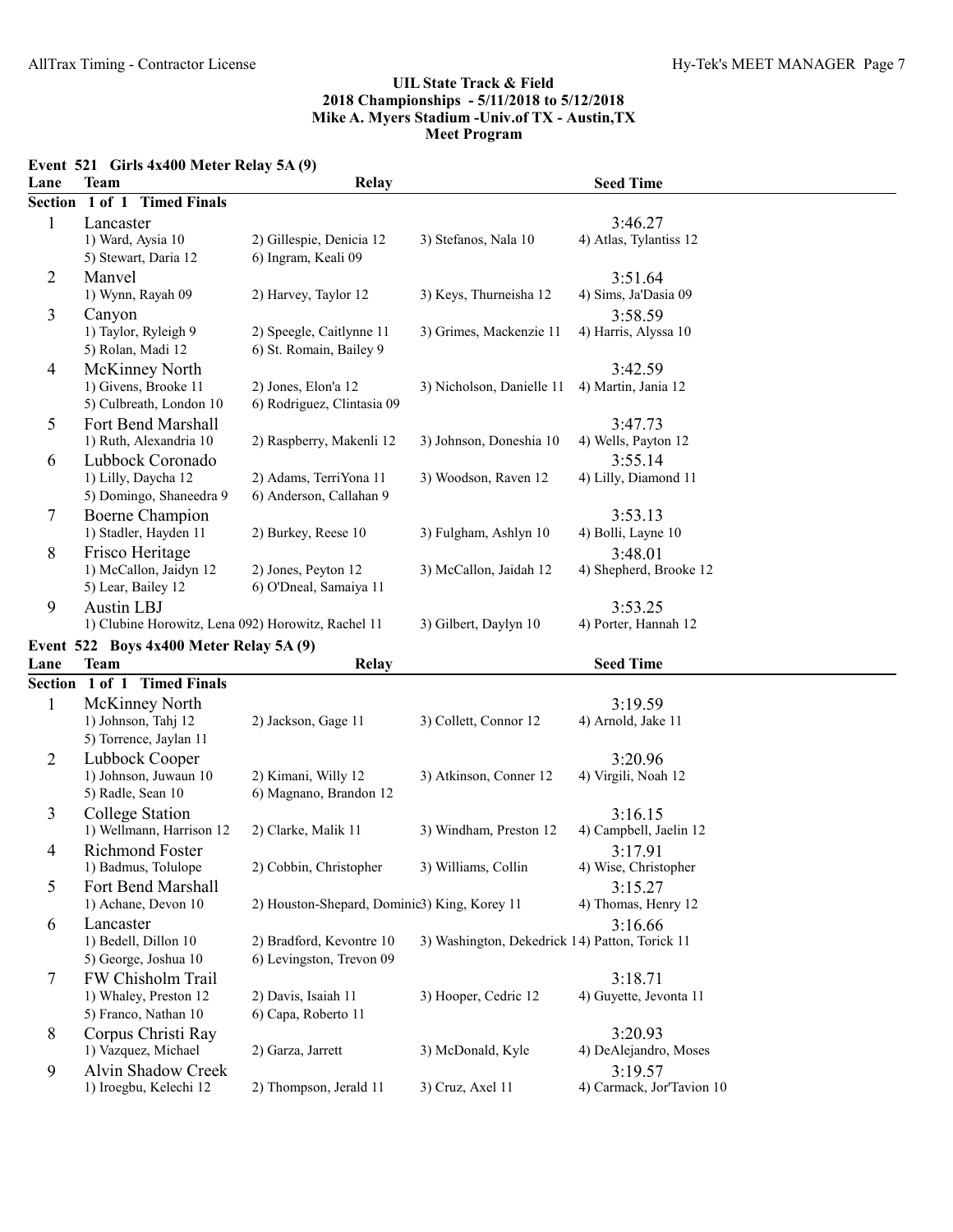|                               | Event $521$ Girls $4x400$ Meter Relay $5A(9)$ |  |
|-------------------------------|-----------------------------------------------|--|
| $\mathbf{I}$ and $\mathbf{I}$ |                                               |  |

| Lane           | <b>Team</b>                                         | <b>Relay</b>                                 |                                                | <b>Seed Time</b>                     |  |
|----------------|-----------------------------------------------------|----------------------------------------------|------------------------------------------------|--------------------------------------|--|
| Section        | 1 of 1 Timed Finals                                 |                                              |                                                |                                      |  |
| 1              | Lancaster                                           |                                              |                                                | 3:46.27                              |  |
|                | 1) Ward, Aysia 10                                   | 2) Gillespie, Denicia 12                     | 3) Stefanos, Nala 10                           | 4) Atlas, Tylantiss 12               |  |
|                | 5) Stewart, Daria 12                                | 6) Ingram, Keali 09                          |                                                |                                      |  |
| $\overline{2}$ | Manvel                                              |                                              |                                                | 3:51.64                              |  |
|                | 1) Wynn, Rayah 09                                   | 2) Harvey, Taylor 12                         | 3) Keys, Thurneisha 12                         | 4) Sims, Ja'Dasia 09                 |  |
| 3              | Canyon                                              |                                              |                                                | 3:58.59                              |  |
|                | 1) Taylor, Ryleigh 9                                | 2) Speegle, Caitlynne 11                     | 3) Grimes, Mackenzie 11                        | 4) Harris, Alyssa 10                 |  |
|                | 5) Rolan, Madi 12                                   | 6) St. Romain, Bailey 9                      |                                                |                                      |  |
| $\overline{4}$ | McKinney North                                      |                                              |                                                | 3:42.59                              |  |
|                | 1) Givens, Brooke 11                                | 2) Jones, Elon'a 12                          | 3) Nicholson, Danielle 11                      | 4) Martin, Jania 12                  |  |
|                | 5) Culbreath, London 10                             | 6) Rodriguez, Clintasia 09                   |                                                |                                      |  |
| 5              | Fort Bend Marshall                                  |                                              |                                                | 3:47.73                              |  |
|                | 1) Ruth, Alexandria 10                              | 2) Raspberry, Makenli 12                     | 3) Johnson, Doneshia 10                        | 4) Wells, Payton 12                  |  |
|                |                                                     |                                              |                                                |                                      |  |
| 6              | Lubbock Coronado                                    | 2) Adams, TerriYona 11                       | 3) Woodson, Raven 12                           | 3:55.14                              |  |
|                | 1) Lilly, Daycha 12<br>5) Domingo, Shaneedra 9      | 6) Anderson, Callahan 9                      |                                                | 4) Lilly, Diamond 11                 |  |
|                |                                                     |                                              |                                                |                                      |  |
| 7              | Boerne Champion                                     |                                              |                                                | 3:53.13                              |  |
|                | 1) Stadler, Hayden 11                               | 2) Burkey, Reese 10                          | 3) Fulgham, Ashlyn 10                          | 4) Bolli, Layne 10                   |  |
| 8              | Frisco Heritage                                     |                                              |                                                | 3:48.01                              |  |
|                | 1) McCallon, Jaidyn 12                              | 2) Jones, Peyton 12                          | 3) McCallon, Jaidah 12                         | 4) Shepherd, Brooke 12               |  |
|                | 5) Lear, Bailey 12                                  | 6) O'Dneal, Samaiya 11                       |                                                |                                      |  |
| 9              | <b>Austin LBJ</b>                                   |                                              |                                                | 3:53.25                              |  |
|                | 1) Clubine Horowitz, Lena 092) Horowitz, Rachel 11  |                                              | 3) Gilbert, Daylyn 10                          | 4) Porter, Hannah 12                 |  |
|                | Event 522 Boys 4x400 Meter Relay 5A (9)             |                                              |                                                |                                      |  |
| Lane           | <b>Team</b>                                         | <b>Relay</b>                                 |                                                | <b>Seed Time</b>                     |  |
|                | Section 1 of 1 Timed Finals                         |                                              |                                                |                                      |  |
| 1              | McKinney North                                      |                                              |                                                | 3:19.59                              |  |
|                | 1) Johnson, Tahj 12                                 | 2) Jackson, Gage 11                          | 3) Collett, Connor 12                          | 4) Arnold, Jake 11                   |  |
|                | 5) Torrence, Jaylan 11                              |                                              |                                                |                                      |  |
| $\overline{2}$ | Lubbock Cooper                                      |                                              |                                                | 3:20.96                              |  |
|                | 1) Johnson, Juwaun 10                               | 2) Kimani, Willy 12                          | 3) Atkinson, Conner 12                         | 4) Virgili, Noah 12                  |  |
|                | 5) Radle, Sean 10                                   | 6) Magnano, Brandon 12                       |                                                |                                      |  |
| 3              | College Station                                     |                                              |                                                | 3:16.15                              |  |
|                | 1) Wellmann, Harrison 12                            | 2) Clarke, Malik 11                          | 3) Windham, Preston 12                         | 4) Campbell, Jaelin 12               |  |
| $\overline{4}$ | <b>Richmond Foster</b>                              |                                              |                                                |                                      |  |
|                |                                                     |                                              |                                                |                                      |  |
| 5              |                                                     |                                              | 3) Williams, Collin                            | 3:17.91<br>4) Wise, Christopher      |  |
|                | 1) Badmus, Tolulope                                 | 2) Cobbin, Christopher                       |                                                |                                      |  |
|                | Fort Bend Marshall                                  |                                              |                                                | 3:15.27                              |  |
|                | 1) Achane, Devon 10                                 | 2) Houston-Shepard, Dominic3) King, Korey 11 |                                                | 4) Thomas, Henry 12                  |  |
| 6              | Lancaster                                           |                                              |                                                | 3:16.66                              |  |
|                | 1) Bedell, Dillon 10                                | 2) Bradford, Kevontre 10                     | 3) Washington, Dekedrick 14) Patton, Torick 11 |                                      |  |
|                | 5) George, Joshua 10                                | 6) Levingston, Trevon 09                     |                                                |                                      |  |
| 7              | FW Chisholm Trail                                   |                                              |                                                | 3:18.71                              |  |
|                | 1) Whaley, Preston 12                               | 2) Davis, Isaiah 11                          | 3) Hooper, Cedric 12                           | 4) Guyette, Jevonta 11               |  |
|                | 5) Franco, Nathan 10                                | 6) Capa, Roberto 11                          |                                                |                                      |  |
| 8              | Corpus Christi Ray                                  |                                              |                                                | 3:20.93                              |  |
|                | 1) Vazquez, Michael                                 | 2) Garza, Jarrett                            | 3) McDonald, Kyle                              | 4) DeAlejandro, Moses                |  |
| 9              | <b>Alvin Shadow Creek</b><br>1) Iroegbu, Kelechi 12 | 2) Thompson, Jerald 11                       | 3) Cruz, Axel 11                               | 3:19.57<br>4) Carmack, Jor'Tavion 10 |  |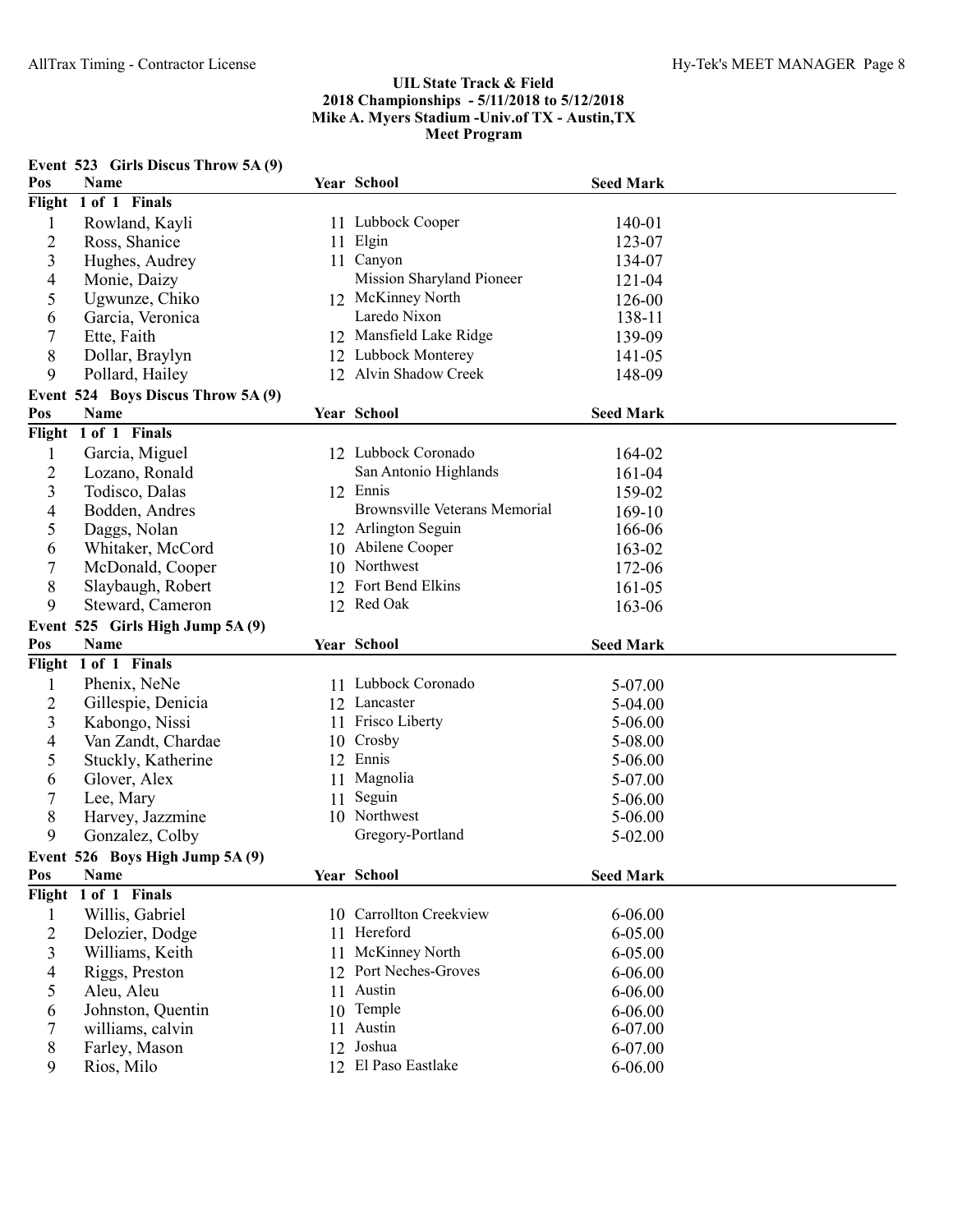|                | Event 523 Girls Discus Throw 5A (9) |    |                                      |                  |
|----------------|-------------------------------------|----|--------------------------------------|------------------|
| Pos            | Name                                |    | Year School                          | <b>Seed Mark</b> |
| Flight         | 1 of 1 Finals                       |    |                                      |                  |
| $\mathbf{1}$   | Rowland, Kayli                      |    | 11 Lubbock Cooper                    | 140-01           |
| $\overline{2}$ | Ross, Shanice                       |    | 11 Elgin                             | 123-07           |
| 3              | Hughes, Audrey                      |    | 11 Canyon                            | 134-07           |
| 4              | Monie, Daizy                        |    | Mission Sharyland Pioneer            | 121-04           |
| 5              | Ugwunze, Chiko                      |    | 12 McKinney North                    | 126-00           |
| 6              | Garcia, Veronica                    |    | Laredo Nixon                         | 138-11           |
| 7              | Ette, Faith                         |    | 12 Mansfield Lake Ridge              | 139-09           |
| 8              | Dollar, Braylyn                     |    | 12 Lubbock Monterey                  | 141-05           |
| 9              | Pollard, Hailey                     |    | 12 Alvin Shadow Creek                | 148-09           |
|                | Event 524 Boys Discus Throw 5A (9)  |    |                                      |                  |
| Pos            | Name                                |    | Year School                          | <b>Seed Mark</b> |
|                | Flight 1 of 1 Finals                |    |                                      |                  |
| $\mathbf{1}$   | Garcia, Miguel                      |    | 12 Lubbock Coronado                  | 164-02           |
| $\overline{c}$ | Lozano, Ronald                      |    | San Antonio Highlands                | 161-04           |
| 3              | Todisco, Dalas                      |    | 12 Ennis                             | 159-02           |
| 4              | Bodden, Andres                      |    | <b>Brownsville Veterans Memorial</b> | 169-10           |
| 5              | Daggs, Nolan                        |    | 12 Arlington Seguin                  | 166-06           |
| 6              | Whitaker, McCord                    |    | 10 Abilene Cooper                    | 163-02           |
| 7              | McDonald, Cooper                    |    | 10 Northwest                         | 172-06           |
| 8              | Slaybaugh, Robert                   |    | 12 Fort Bend Elkins                  | 161-05           |
| 9              | Steward, Cameron                    |    | 12 Red Oak                           |                  |
|                |                                     |    |                                      | 163-06           |
|                |                                     |    |                                      |                  |
|                | Event 525 Girls High Jump 5A (9)    |    |                                      |                  |
| Pos            | Name                                |    | Year School                          | <b>Seed Mark</b> |
| Flight         | 1 of 1 Finals                       |    |                                      |                  |
| $\mathbf{1}$   | Phenix, NeNe                        |    | 11 Lubbock Coronado                  | 5-07.00          |
| $\overline{c}$ | Gillespie, Denicia                  |    | 12 Lancaster                         | 5-04.00          |
| 3              | Kabongo, Nissi                      |    | 11 Frisco Liberty                    | 5-06.00          |
| 4              | Van Zandt, Chardae                  |    | 10 Crosby                            | 5-08.00          |
| 5              | Stuckly, Katherine                  | 12 | Ennis                                | 5-06.00          |
| 6              | Glover, Alex                        | 11 | Magnolia                             | 5-07.00          |
| 7              | Lee, Mary                           | 11 | Seguin                               | 5-06.00          |
| 8              | Harvey, Jazzmine                    |    | 10 Northwest                         | 5-06.00          |
| 9              | Gonzalez, Colby                     |    | Gregory-Portland                     | 5-02.00          |
|                | Event 526 Boys High Jump 5A (9)     |    |                                      |                  |
| Pos            | Name                                |    | Year School                          | <b>Seed Mark</b> |
|                | Flight 1 of 1 Finals                |    |                                      |                  |
| $\mathbf{1}$   | Willis, Gabriel                     |    | 10 Carrollton Creekview              | 6-06.00          |
| $\overline{c}$ | Delozier, Dodge                     |    | 11 Hereford                          | 6-05.00          |
| $\mathfrak{Z}$ | Williams, Keith                     |    | 11 McKinney North                    | 6-05.00          |
| 4              | Riggs, Preston                      |    | 12 Port Neches-Groves                | 6-06.00          |
| 5              | Aleu, Aleu                          | 11 | Austin                               | 6-06.00          |
| 6              | Johnston, Quentin                   | 10 | Temple                               | 6-06.00          |
| 7              | williams, calvin                    |    | 11 Austin                            | 6-07.00          |
| 8              | Farley, Mason<br>Rios, Milo         |    | 12 Joshua<br>12 El Paso Eastlake     | 6-07.00          |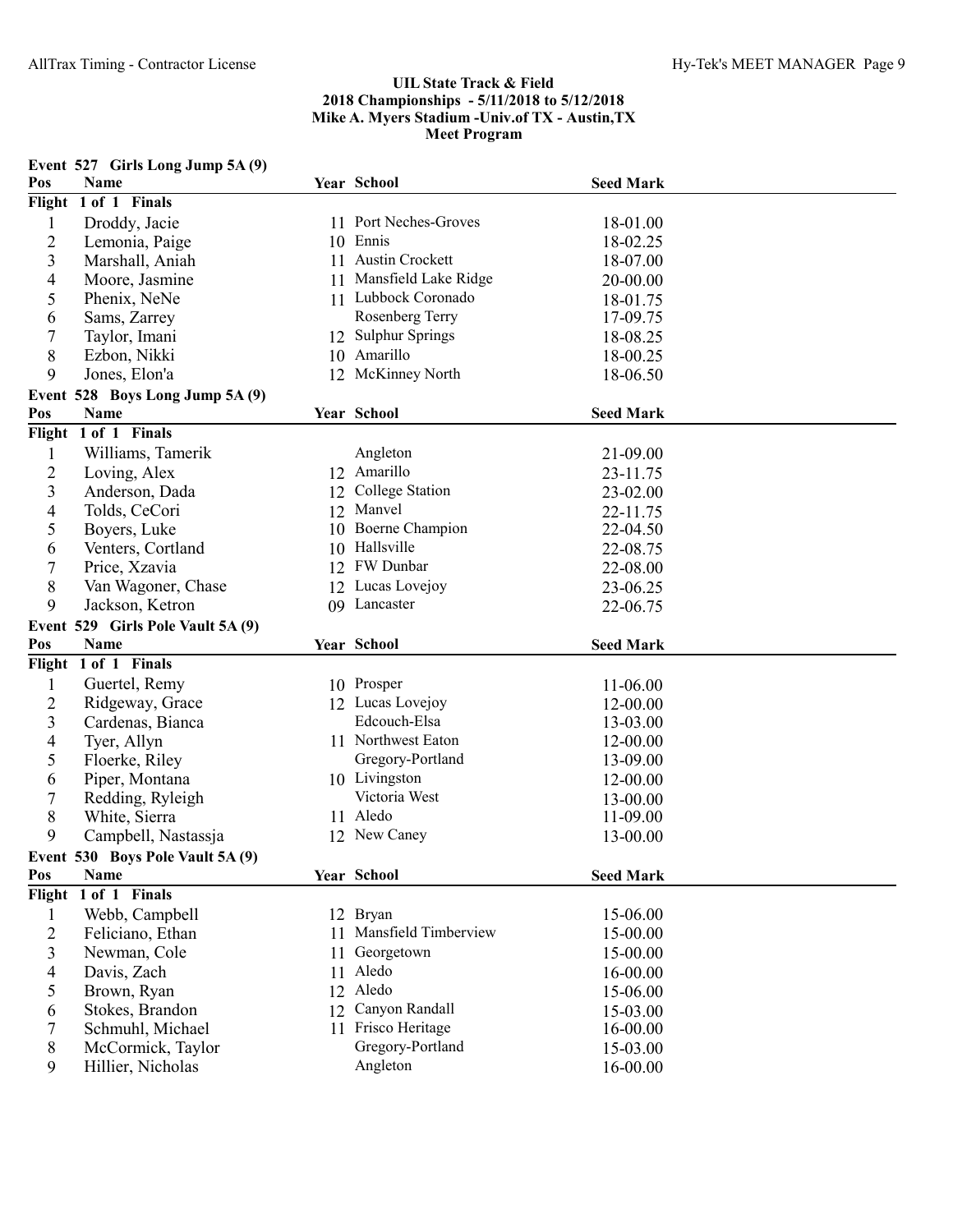|                | Event 527 Girls Long Jump 5A (9)       |    |                              |                      |  |
|----------------|----------------------------------------|----|------------------------------|----------------------|--|
| Pos            | <b>Name</b>                            |    | Year School                  | <b>Seed Mark</b>     |  |
| Flight         | 1 of 1 Finals                          |    |                              |                      |  |
| $\mathbf{1}$   | Droddy, Jacie                          |    | 11 Port Neches-Groves        | 18-01.00             |  |
| $\overline{2}$ | Lemonia, Paige                         |    | 10 Ennis                     | 18-02.25             |  |
| 3              | Marshall, Aniah                        |    | 11 Austin Crockett           | 18-07.00             |  |
| 4              | Moore, Jasmine                         |    | 11 Mansfield Lake Ridge      | 20-00.00             |  |
| 5              | Phenix, NeNe                           |    | 11 Lubbock Coronado          | 18-01.75             |  |
| 6              | Sams, Zarrey                           |    | Rosenberg Terry              | 17-09.75             |  |
| 7              | Taylor, Imani                          |    | 12 Sulphur Springs           | 18-08.25             |  |
| 8              | Ezbon, Nikki                           |    | 10 Amarillo                  | 18-00.25             |  |
| 9              | Jones, Elon'a                          |    | 12 McKinney North            | 18-06.50             |  |
|                | Event 528 Boys Long Jump 5A (9)        |    |                              |                      |  |
| Pos            | Name                                   |    | Year School                  | <b>Seed Mark</b>     |  |
|                | Flight 1 of 1 Finals                   |    |                              |                      |  |
| 1              | Williams, Tamerik                      |    | Angleton                     | 21-09.00             |  |
| $\overline{c}$ | Loving, Alex                           |    | 12 Amarillo                  | 23-11.75             |  |
| $\overline{3}$ | Anderson, Dada                         | 12 | College Station              | 23-02.00             |  |
| 4              | Tolds, CeCori                          | 12 | Manvel                       | 22-11.75             |  |
| 5              | Boyers, Luke                           | 10 | Boerne Champion              | 22-04.50             |  |
| 6              | Venters, Cortland                      | 10 | Hallsville                   | 22-08.75             |  |
| 7              | Price, Xzavia                          |    | 12 FW Dunbar                 | 22-08.00             |  |
| 8              | Van Wagoner, Chase                     |    | 12 Lucas Lovejoy             | 23-06.25             |  |
| 9              | Jackson, Ketron                        |    | 09 Lancaster                 | 22-06.75             |  |
|                | Event 529 Girls Pole Vault 5A (9)      |    |                              |                      |  |
| Pos            | Name                                   |    | Year School                  | <b>Seed Mark</b>     |  |
| Flight         | 1 of 1 Finals                          |    |                              |                      |  |
|                |                                        |    |                              | 11-06.00             |  |
|                |                                        |    |                              |                      |  |
| $\mathbf{1}$   | Guertel, Remy                          |    | 10 Prosper                   |                      |  |
| $\overline{c}$ | Ridgeway, Grace                        |    | 12 Lucas Lovejoy             | 12-00.00             |  |
| 3              | Cardenas, Bianca                       |    | Edcouch-Elsa                 | 13-03.00             |  |
| 4              | Tyer, Allyn                            |    | 11 Northwest Eaton           | 12-00.00             |  |
| 5              | Floerke, Riley                         |    | Gregory-Portland             | 13-09.00             |  |
| 6              | Piper, Montana                         |    | 10 Livingston                | 12-00.00             |  |
| 7              | Redding, Ryleigh                       |    | Victoria West                | 13-00.00             |  |
| 8              | White, Sierra                          |    | 11 Aledo                     | 11-09.00             |  |
| 9              | Campbell, Nastassja                    |    | 12 New Caney                 | 13-00.00             |  |
|                | Event 530 Boys Pole Vault 5A (9)       |    |                              |                      |  |
| Pos            | Name                                   |    | Year School                  | <b>Seed Mark</b>     |  |
|                | Flight 1 of 1 Finals                   |    |                              |                      |  |
| $\mathbf{1}$   | Webb, Campbell                         |    | 12 Bryan                     | 15-06.00             |  |
| $\overline{2}$ | Feliciano, Ethan                       |    | 11 Mansfield Timberview      | 15-00.00             |  |
| 3              | Newman, Cole                           | 11 | Georgetown                   | 15-00.00             |  |
| 4              | Davis, Zach                            | 11 | Aledo                        | 16-00.00             |  |
| 5              | Brown, Ryan                            | 12 | Aledo                        | 15-06.00             |  |
| 6              | Stokes, Brandon                        | 12 | Canyon Randall               | 15-03.00             |  |
| 7              | Schmuhl, Michael                       |    | 11 Frisco Heritage           | 16-00.00             |  |
| 8<br>9         | McCormick, Taylor<br>Hillier, Nicholas |    | Gregory-Portland<br>Angleton | 15-03.00<br>16-00.00 |  |